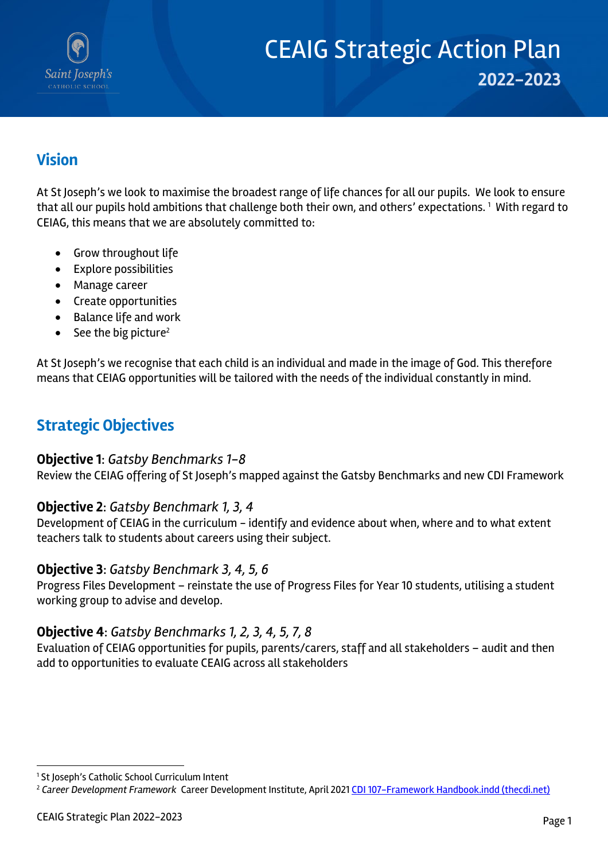

# **Vision**

At St Joseph's we look to maximise the broadest range of life chances for all our pupils. We look to ensure that all our pupils hold ambitions that challenge both their own, and others' expectations.<sup>1</sup> With regard to CEIAG, this means that we are absolutely committed to:

- Grow throughout life
- Explore possibilities
- Manage career
- Create opportunities
- Balance life and work
- See the big picture<sup>2</sup>

At St Joseph's we recognise that each child is an individual and made in the image of God. This therefore means that CEIAG opportunities will be tailored with the needs of the individual constantly in mind.

## **Strategic Objectives**

#### **Objective 1**: *Gatsby Benchmarks 1-8*

Review the CEIAG offering of St Joseph's mapped against the Gatsby Benchmarks and new CDI Framework

## **Objective 2**: *Gatsby Benchmark 1, 3, 4*

Development of CEIAG in the curriculum - identify and evidence about when, where and to what extent teachers talk to students about careers using their subject.

#### **Objective 3**: *Gatsby Benchmark 3, 4, 5, 6*

Progress Files Development – reinstate the use of Progress Files for Year 10 students, utilising a student working group to advise and develop.

## **Objective 4**: *Gatsby Benchmarks 1, 2, 3, 4, 5, 7, 8*

Evaluation of CEIAG opportunities for pupils, parents/carers, staff and all stakeholders – audit and then add to opportunities to evaluate CEAIG across all stakeholders

<sup>&</sup>lt;sup>1</sup> St Joseph's Catholic School Curriculum Intent<br><sup>2</sup> Career Development Framework Career Development Institute, April 2021 <u>CDI 107-Framework Handbook.indd (thecdi.net)</u>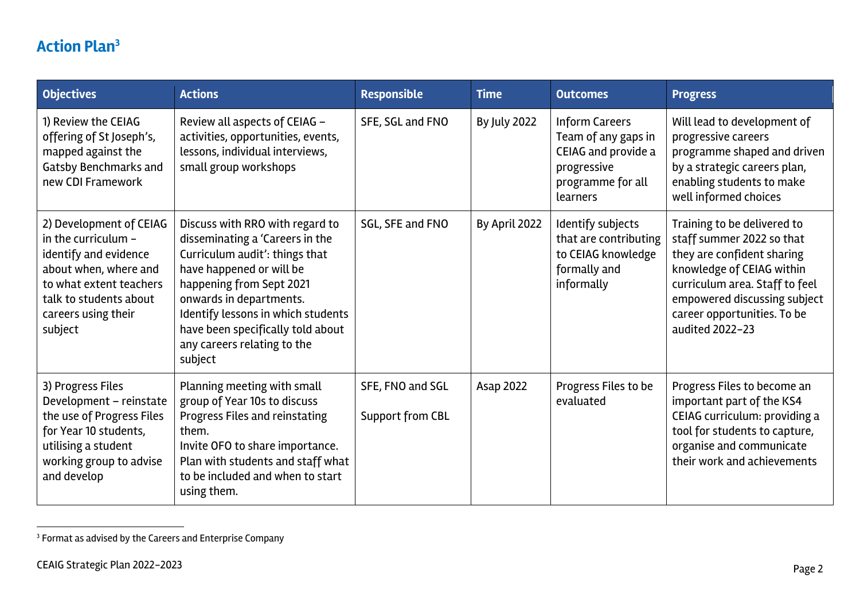# **Action Plan3**

| Objectives                                                                                                                                                                              | <b>Actions</b>                                                                                                                                                                                                                                                                                               | <b>Responsible</b>                          | <b>Time</b>   | <b>Outcomes</b>                                                                                                     | <b>Progress</b>                                                                                                                                                                                                                         |
|-----------------------------------------------------------------------------------------------------------------------------------------------------------------------------------------|--------------------------------------------------------------------------------------------------------------------------------------------------------------------------------------------------------------------------------------------------------------------------------------------------------------|---------------------------------------------|---------------|---------------------------------------------------------------------------------------------------------------------|-----------------------------------------------------------------------------------------------------------------------------------------------------------------------------------------------------------------------------------------|
| 1) Review the CEIAG<br>offering of St Joseph's,<br>mapped against the<br>Gatsby Benchmarks and<br>new CDI Framework                                                                     | Review all aspects of CEIAG -<br>activities, opportunities, events,<br>lessons, individual interviews,<br>small group workshops                                                                                                                                                                              | SFE, SGL and FNO                            | By July 2022  | <b>Inform Careers</b><br>Team of any gaps in<br>CEIAG and provide a<br>progressive<br>programme for all<br>learners | Will lead to development of<br>progressive careers<br>programme shaped and driven<br>by a strategic careers plan,<br>enabling students to make<br>well informed choices                                                                 |
| 2) Development of CEIAG<br>in the curriculum -<br>identify and evidence<br>about when, where and<br>to what extent teachers<br>talk to students about<br>careers using their<br>subject | Discuss with RRO with regard to<br>disseminating a 'Careers in the<br>Curriculum audit': things that<br>have happened or will be<br>happening from Sept 2021<br>onwards in departments.<br>Identify lessons in which students<br>have been specifically told about<br>any careers relating to the<br>subject | SGL, SFE and FNO                            | By April 2022 | Identify subjects<br>that are contributing<br>to CEIAG knowledge<br>formally and<br>informally                      | Training to be delivered to<br>staff summer 2022 so that<br>they are confident sharing<br>knowledge of CEIAG within<br>curriculum area. Staff to feel<br>empowered discussing subject<br>career opportunities. To be<br>audited 2022-23 |
| 3) Progress Files<br>Development - reinstate<br>the use of Progress Files<br>for Year 10 students,<br>utilising a student<br>working group to advise<br>and develop                     | Planning meeting with small<br>group of Year 10s to discuss<br>Progress Files and reinstating<br>them.<br>Invite OFO to share importance.<br>Plan with students and staff what<br>to be included and when to start<br>using them.                                                                            | SFE, FNO and SGL<br><b>Support from CBL</b> | Asap 2022     | Progress Files to be<br>evaluated                                                                                   | Progress Files to become an<br>important part of the KS4<br>CEIAG curriculum: providing a<br>tool for students to capture,<br>organise and communicate<br>their work and achievements                                                   |

 $3$  Format as advised by the Careers and Enterprise Company